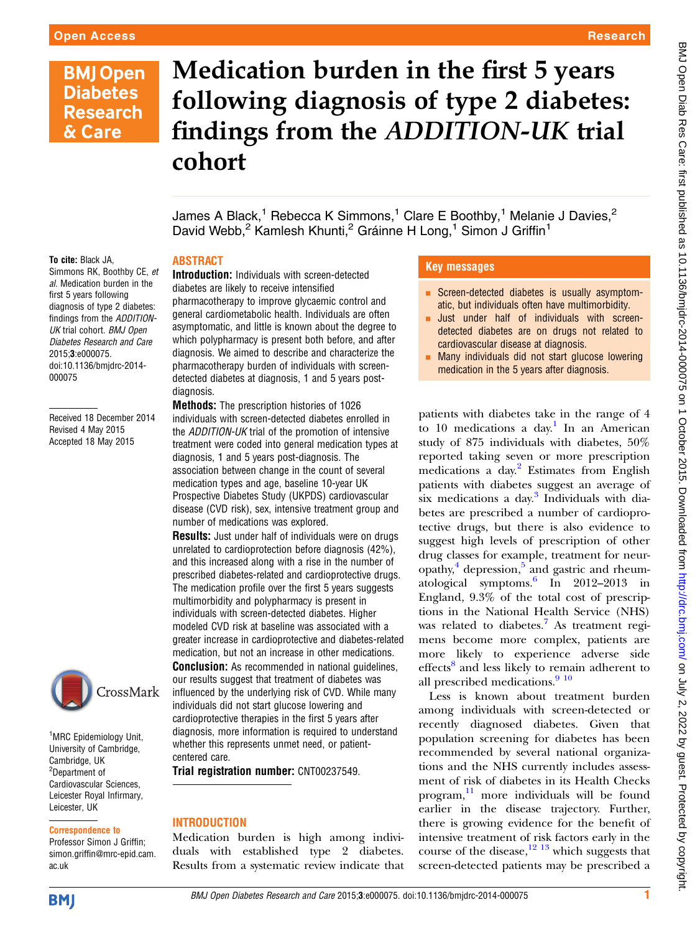## **BMJ Open Diabetes Research** & Care

# Medication burden in the first 5 years following diagnosis of type 2 diabetes: findings from the ADDITION-UK trial cohort

James A Black,<sup>1</sup> Rebecca K Simmons,<sup>1</sup> Clare E Boothby,<sup>1</sup> Melanie J Davies,<sup>2</sup> David Webb,<sup>2</sup> Kamlesh Khunti,<sup>2</sup> Gráinne H Long,<sup>1</sup> Simon J Griffin<sup>1</sup>

#### ABSTRACT

Simmons RK, Boothby CE, et al. Medication burden in the first 5 years following diagnosis of type 2 diabetes: findings from the ADDITION-UK trial cohort. BMJ Open Diabetes Research and Care 2015;3:e000075. doi:10.1136/bmjdrc-2014- 000075

To cite: Black JA,

Received 18 December 2014 Revised 4 May 2015 Accepted 18 May 2015



<sup>1</sup>MRC Epidemiology Unit, University of Cambridge, Cambridge, UK <sup>2</sup>Department of Cardiovascular Sciences, Leicester Royal Infirmary, Leicester, UK

#### Correspondence to

Professor Simon J Griffin; simon.griffin@mrc-epid.cam. ac.uk

Introduction: Individuals with screen-detected diabetes are likely to receive intensified pharmacotherapy to improve glycaemic control and general cardiometabolic health. Individuals are often asymptomatic, and little is known about the degree to which polypharmacy is present both before, and after diagnosis. We aimed to describe and characterize the pharmacotherapy burden of individuals with screendetected diabetes at diagnosis, 1 and 5 years postdiagnosis.

Methods: The prescription histories of 1026 individuals with screen-detected diabetes enrolled in the ADDITION-UK trial of the promotion of intensive treatment were coded into general medication types at diagnosis, 1 and 5 years post-diagnosis. The association between change in the count of several medication types and age, baseline 10-year UK Prospective Diabetes Study (UKPDS) cardiovascular disease (CVD risk), sex, intensive treatment group and number of medications was explored.

**Results:** Just under half of individuals were on drugs unrelated to cardioprotection before diagnosis (42%), and this increased along with a rise in the number of prescribed diabetes-related and cardioprotective drugs. The medication profile over the first 5 years suggests multimorbidity and polypharmacy is present in individuals with screen-detected diabetes. Higher modeled CVD risk at baseline was associated with a greater increase in cardioprotective and diabetes-related medication, but not an increase in other medications. **Conclusion:** As recommended in national quidelines, our results suggest that treatment of diabetes was influenced by the underlying risk of CVD. While many individuals did not start glucose lowering and cardioprotective therapies in the first 5 years after diagnosis, more information is required to understand whether this represents unmet need, or patient-

Trial registration number: CNT00237549.

#### INTRODUCTION

centered care.

Medication burden is high among individuals with established type 2 diabetes. Results from a systematic review indicate that

#### Key messages

- **EXPLO Screen-detected diabetes is usually asymptom**atic, but individuals often have multimorbidity.
- Just under half of individuals with screendetected diabetes are on drugs not related to cardiovascular disease at diagnosis.
- Many individuals did not start glucose lowering medication in the 5 years after diagnosis.

patients with diabetes take in the range of 4 to 10 medications a day.<sup>1</sup> In an American study of 875 individuals with diabetes, 50% reported taking seven or more prescription medications a day.<sup>[2](#page-6-0)</sup> Estimates from English patients with diabetes suggest an average of six medications a day. $3$  Individuals with diabetes are prescribed a number of cardioprotective drugs, but there is also evidence to suggest high levels of prescription of other drug classes for example, treatment for neuropathy, $4$  depression, $5$  and gastric and rheumatological symptoms[.6](#page-7-0) In 2012–2013 in England, 9.3% of the total cost of prescriptions in the National Health Service (NHS) was related to diabetes.<sup>[7](#page-7-0)</sup> As treatment regimens become more complex, patients are more likely to experience adverse side effects<sup>[8](#page-7-0)</sup> and less likely to remain adherent to all prescribed medications. $910$ 

Less is known about treatment burden among individuals with screen-detected or recently diagnosed diabetes. Given that population screening for diabetes has been recommended by several national organizations and the NHS currently includes assessment of risk of diabetes in its Health Checks program, [11](#page-7-0) more individuals will be found earlier in the disease trajectory. Further, there is growing evidence for the benefit of intensive treatment of risk factors early in the course of the disease, $12 \frac{13}{13}$  which suggests that screen-detected patients may be prescribed a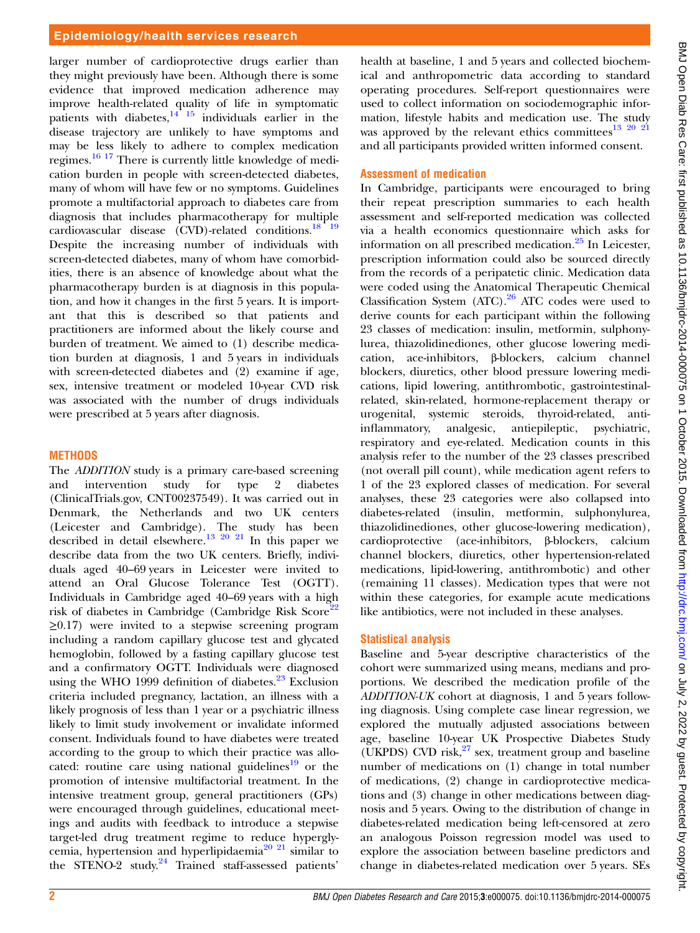larger number of cardioprotective drugs earlier than they might previously have been. Although there is some evidence that improved medication adherence may improve health-related quality of life in symptomatic patients with diabetes, $14^{115}$  individuals earlier in the disease trajectory are unlikely to have symptoms and may be less likely to adhere to complex medication regimes.[16 17](#page-7-0) There is currently little knowledge of medication burden in people with screen-detected diabetes, many of whom will have few or no symptoms. Guidelines promote a multifactorial approach to diabetes care from diagnosis that includes pharmacotherapy for multiple cardiovascular disease (CVD)-related conditions.[18 19](#page-7-0) Despite the increasing number of individuals with screen-detected diabetes, many of whom have comorbidities, there is an absence of knowledge about what the pharmacotherapy burden is at diagnosis in this population, and how it changes in the first 5 years. It is important that this is described so that patients and practitioners are informed about the likely course and burden of treatment. We aimed to (1) describe medication burden at diagnosis, 1 and 5 years in individuals with screen-detected diabetes and (2) examine if age, sex, intensive treatment or modeled 10-year CVD risk was associated with the number of drugs individuals were prescribed at 5 years after diagnosis.

#### **METHODS**

The ADDITION study is a primary care-based screening and intervention study for type 2 diabetes (ClinicalTrials.gov, CNT00237549). It was carried out in Denmark, the Netherlands and two UK centers (Leicester and Cambridge). The study has been described in detail elsewhere.<sup>13 20 21</sup> In this paper we describe data from the two UK centers. Briefly, individuals aged 40–69 years in Leicester were invited to attend an Oral Glucose Tolerance Test (OGTT). Individuals in Cambridge aged 40–69 years with a high risk of diabetes in Cambridge (Cambridge Risk Score<sup>[22](#page-7-0)</sup>  $\geq$ 0.17) were invited to a stepwise screening program including a random capillary glucose test and glycated hemoglobin, followed by a fasting capillary glucose test and a confirmatory OGTT. Individuals were diagnosed using the WHO 1999 definition of diabetes. $23$  Exclusion criteria included pregnancy, lactation, an illness with a likely prognosis of less than 1 year or a psychiatric illness likely to limit study involvement or invalidate informed consent. Individuals found to have diabetes were treated according to the group to which their practice was allo-cated: routine care using national guidelines<sup>[19](#page-7-0)</sup> or the promotion of intensive multifactorial treatment. In the intensive treatment group, general practitioners (GPs) were encouraged through guidelines, educational meetings and audits with feedback to introduce a stepwise target-led drug treatment regime to reduce hyperglycemia, hypertension and hyperlipidaemia<sup>20 21</sup> similar to the STENO-2 study.<sup>[24](#page-7-0)</sup> Trained staff-assessed patients'

health at baseline, 1 and 5 years and collected biochemical and anthropometric data according to standard operating procedures. Self-report questionnaires were used to collect information on sociodemographic information, lifestyle habits and medication use. The study was approved by the relevant ethics committees $^{13}$   $^{20}$   $^{21}$ and all participants provided written informed consent.

#### Assessment of medication

In Cambridge, participants were encouraged to bring their repeat prescription summaries to each health assessment and self-reported medication was collected via a health economics questionnaire which asks for information on all prescribed medication. $^{25}$  $^{25}$  $^{25}$  In Leicester, prescription information could also be sourced directly from the records of a peripatetic clinic. Medication data were coded using the Anatomical Therapeutic Chemical Classification System  $(ATC)$ .<sup>[26](#page-7-0)</sup> ATC codes were used to derive counts for each participant within the following 23 classes of medication: insulin, metformin, sulphonylurea, thiazolidinediones, other glucose lowering medication, ace-inhibitors, β-blockers, calcium channel blockers, diuretics, other blood pressure lowering medications, lipid lowering, antithrombotic, gastrointestinalrelated, skin-related, hormone-replacement therapy or urogenital, systemic steroids, thyroid-related, antiinflammatory, analgesic, antiepileptic, psychiatric, respiratory and eye-related. Medication counts in this analysis refer to the number of the 23 classes prescribed (not overall pill count), while medication agent refers to 1 of the 23 explored classes of medication. For several analyses, these 23 categories were also collapsed into diabetes-related (insulin, metformin, sulphonylurea, thiazolidinediones, other glucose-lowering medication), cardioprotective (ace-inhibitors, β-blockers, calcium channel blockers, diuretics, other hypertension-related medications, lipid-lowering, antithrombotic) and other (remaining 11 classes). Medication types that were not within these categories, for example acute medications like antibiotics, were not included in these analyses.

#### Statistical analysis

Baseline and 5-year descriptive characteristics of the cohort were summarized using means, medians and proportions. We described the medication profile of the ADDITION-UK cohort at diagnosis, 1 and 5 years following diagnosis. Using complete case linear regression, we explored the mutually adjusted associations between age, baseline 10-year UK Prospective Diabetes Study (UKPDS) CVD risk, $2^7$  sex, treatment group and baseline number of medications on (1) change in total number of medications, (2) change in cardioprotective medications and (3) change in other medications between diagnosis and 5 years. Owing to the distribution of change in diabetes-related medication being left-censored at zero an analogous Poisson regression model was used to explore the association between baseline predictors and change in diabetes-related medication over 5 years. SEs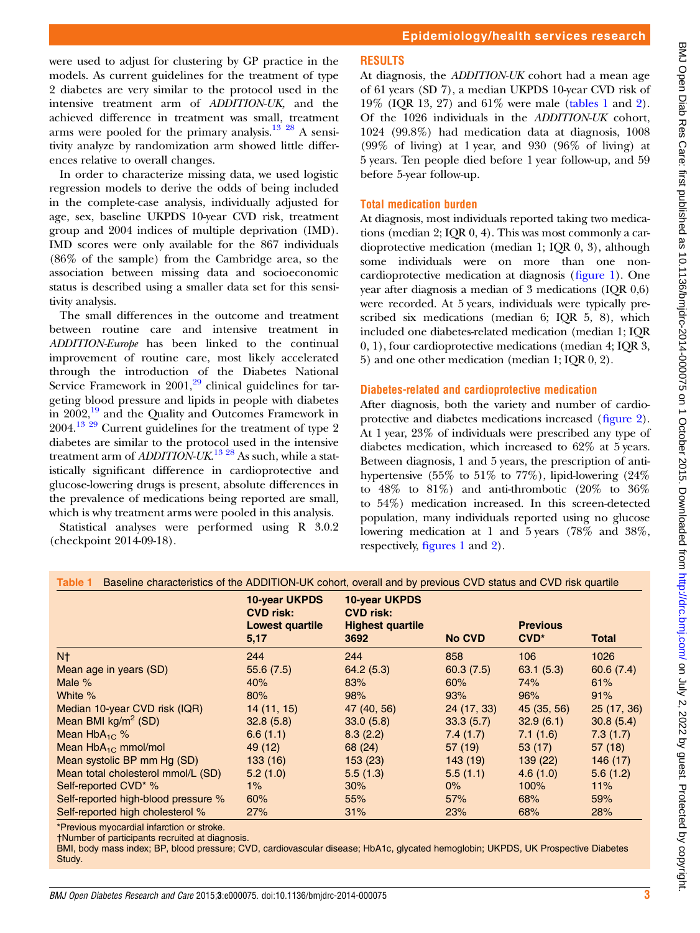were used to adjust for clustering by GP practice in the models. As current guidelines for the treatment of type 2 diabetes are very similar to the protocol used in the intensive treatment arm of ADDITION-UK, and the achieved difference in treatment was small, treatment arms were pooled for the primary analysis.<sup>13</sup> <sup>28</sup> A sensitivity analyze by randomization arm showed little differences relative to overall changes.

In order to characterize missing data, we used logistic regression models to derive the odds of being included in the complete-case analysis, individually adjusted for age, sex, baseline UKPDS 10-year CVD risk, treatment group and 2004 indices of multiple deprivation (IMD). IMD scores were only available for the 867 individuals (86% of the sample) from the Cambridge area, so the association between missing data and socioeconomic status is described using a smaller data set for this sensitivity analysis.

The small differences in the outcome and treatment between routine care and intensive treatment in ADDITION-Europe has been linked to the continual improvement of routine care, most likely accelerated through the introduction of the Diabetes National Service Framework in  $2001$ ,<sup>[29](#page-7-0)</sup> clinical guidelines for targeting blood pressure and lipids in people with diabetes in 2002,<sup>[19](#page-7-0)</sup> and the Quality and Outcomes Framework in 2004.[13 29](#page-7-0) Current guidelines for the treatment of type 2 diabetes are similar to the protocol used in the intensive treatment arm of *ADDITION-UK*.<sup>13-28</sup> As such, while a statistically significant difference in cardioprotective and glucose-lowering drugs is present, absolute differences in the prevalence of medications being reported are small, which is why treatment arms were pooled in this analysis.

Statistical analyses were performed using R 3.0.2 (checkpoint 2014-09-18).

#### RESULTS

At diagnosis, the ADDITION-UK cohort had a mean age of 61 years (SD 7), a median UKPDS 10-year CVD risk of 19% (IQR 13, 27) and 61% were male (tables 1 and [2](#page-3-0)). Of the 1026 individuals in the ADDITION-UK cohort, 1024 (99.8%) had medication data at diagnosis, 1008 (99% of living) at 1 year, and 930 (96% of living) at 5 years. Ten people died before 1 year follow-up, and 59 before 5-year follow-up.

#### Total medication burden

At diagnosis, most individuals reported taking two medications (median 2; IQR 0, 4). This was most commonly a cardioprotective medication (median 1; IQR 0, 3), although some individuals were on more than one noncardioprotective medication at diagnosis (fi[gure 1\)](#page-4-0). One year after diagnosis a median of 3 medications (IQR 0,6) were recorded. At 5 years, individuals were typically prescribed six medications (median 6; IQR 5, 8), which included one diabetes-related medication (median 1; IQR 0, 1), four cardioprotective medications (median 4; IQR 3, 5) and one other medication (median 1; IQR 0, 2).

#### Diabetes-related and cardioprotective medication

After diagnosis, both the variety and number of cardioprotective and diabetes medications increased (fi[gure 2\)](#page-5-0). At 1 year, 23% of individuals were prescribed any type of diabetes medication, which increased to 62% at 5 years. Between diagnosis, 1 and 5 years, the prescription of antihypertensive (55% to 51% to 77%), lipid-lowering (24% to  $48\%$  to  $81\%$ ) and anti-thrombotic  $(20\%$  to  $36\%$ to 54%) medication increased. In this screen-detected population, many individuals reported using no glucose lowering medication at 1 and 5 years (78% and 38%, respectively, fi[gures 1](#page-4-0) and [2](#page-5-0)).

|                                     | 10-year UKPDS<br><b>CVD risk:</b><br><b>Lowest quartile</b><br>5,17 | 10-year UKPDS<br><b>CVD risk:</b><br><b>Highest quartile</b><br>3692 | <b>No CVD</b> | <b>Previous</b><br>$CVD^*$ | <b>Total</b> |  |
|-------------------------------------|---------------------------------------------------------------------|----------------------------------------------------------------------|---------------|----------------------------|--------------|--|
| N <sub>†</sub>                      | 244                                                                 | 244                                                                  | 858           | 106                        | 1026         |  |
| Mean age in years (SD)              | 55.6(7.5)                                                           | 64.2(5.3)                                                            | 60.3(7.5)     | 63.1(5.3)                  | 60.6(7.4)    |  |
| Male %                              | 40%                                                                 | 83%                                                                  | 60%           | 74%                        | 61%          |  |
| White %                             | 80%                                                                 | 98%                                                                  | 93%           | 96%                        | 91%          |  |
| Median 10-year CVD risk (IQR)       | 14(11, 15)                                                          | 47 (40, 56)                                                          | 24(17, 33)    | 45(35, 56)                 | 25(17, 36)   |  |
| Mean BMI $kg/m^2$ (SD)              | 32.8(5.8)                                                           | 33.0(5.8)                                                            | 33.3(5.7)     | 32.9(6.1)                  | 30.8(5.4)    |  |
| Mean $HbA_{1C}$ %                   | 6.6(1.1)                                                            | 8.3(2.2)                                                             | 7.4(1.7)      | 7.1(1.6)                   | 7.3(1.7)     |  |
| Mean $HbA_{1C}$ mmol/mol            | 49 (12)                                                             | 68 (24)                                                              | 57 (19)       | 53(17)                     | 57(18)       |  |
| Mean systolic BP mm Hg (SD)         | 133(16)                                                             | 153(23)                                                              | 143(19)       | 139(22)                    | 146(17)      |  |
| Mean total cholesterol mmol/L (SD)  | 5.2(1.0)                                                            | 5.5(1.3)                                                             | 5.5(1.1)      | 4.6(1.0)                   | 5.6(1.2)     |  |
| Self-reported CVD <sup>*</sup> %    | $1\%$                                                               | 30%                                                                  | $0\%$         | 100%                       | 11%          |  |
| Self-reported high-blood pressure % | 60%                                                                 | 55%                                                                  | 57%           | 68%                        | 59%          |  |
| Self-reported high cholesterol %    | 27%                                                                 | 31%                                                                  | 23%           | 68%                        | 28%          |  |

\*Previous myocardial infarction or stroke.

†Number of participants recruited at diagnosis.

BMI, body mass index; BP, blood pressure; CVD, cardiovascular disease; HbA1c, glycated hemoglobin; UKPDS, UK Prospective Diabetes Study.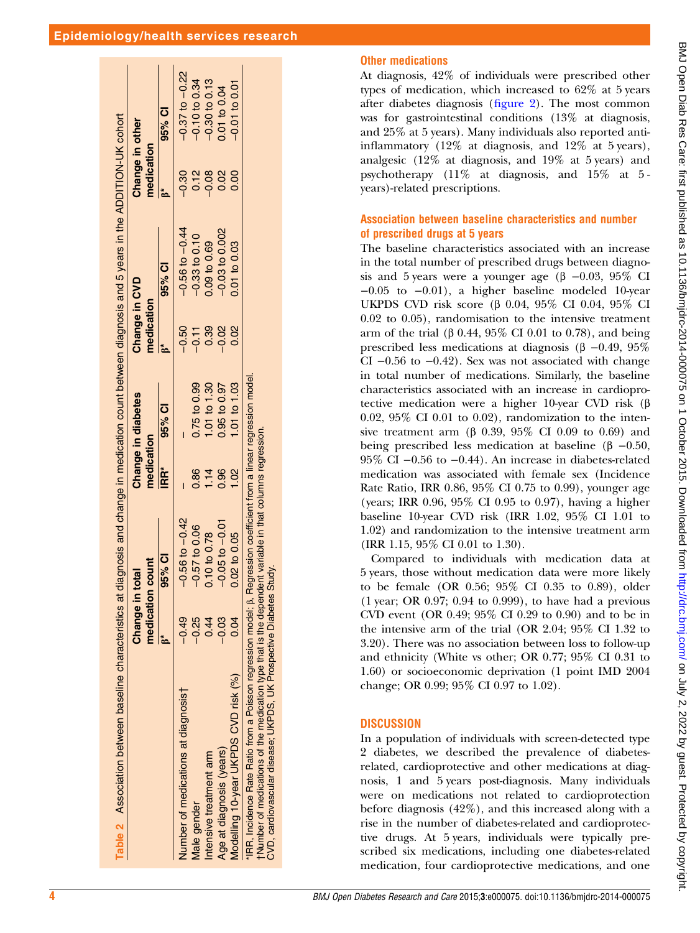<span id="page-3-0"></span>

| Table 2 Association between baseline characteristics at diagnosis and change in medication count between diagnosis and 5 years in the ADDITION-UK cohort |           |                                                       |                |                    |               |                    |                 |                    |
|----------------------------------------------------------------------------------------------------------------------------------------------------------|-----------|-------------------------------------------------------|----------------|--------------------|---------------|--------------------|-----------------|--------------------|
|                                                                                                                                                          | Change in | total                                                 |                | Change in diabetes | Change in CVD |                    | Change in other |                    |
|                                                                                                                                                          |           | medication count                                      | medication     |                    | medication    |                    | medication      |                    |
|                                                                                                                                                          |           | 95% CI                                                | IRR*           | 95% CI             |               | 95% CI             |                 | 95% CI             |
| Number of medications at diagnosis†                                                                                                                      | $-0.49$   | $-0.56$ to $-0.42$                                    |                |                    | $-0.50$       | $-0.56$ to $-0.44$ | $-0.30$         | $-0.37$ to $-0.22$ |
| <b>Vlale</b> gender                                                                                                                                      | $-0.25$   | $-0.57$ to 0.06                                       | $\frac{86}{5}$ | 0.75 to 0.99       | $-0.11$       | $-0.33$ to $0.10$  | 0.12            | $-0.10$ to 0.34    |
| Intensive treatment arm                                                                                                                                  | 0.44      | 0.10 to 0.78                                          | $\frac{1}{4}$  | 1.01 to 1.30       | 0.39          | 0.09 to 0.69       | 0.08            | $-0.30$ to 0.13    |
| Age at diagnosis (years)                                                                                                                                 | $-0.03$   | $-0.05$ to $-0.01$                                    | 0.96           | 0.95 to 0.97       | $-0.02$       | $-0.03$ to $0.002$ | 0.02            | 0.01 to 0.04       |
| Modelling 10-year UKPDS CVD risk (%)                                                                                                                     | 0.04      | 0.02 to 0.05                                          | S.             | 1.01 to 1.03       | 0.02          | 0.01 to 0.03       | 0.00            | $-0.01$ to 0.01    |
| 'IRR, Incidence Rate Ratio from a Poisson regression model; $\beta$ , I                                                                                  |           | Regression coefficient from a linear regression model |                |                    |               |                    |                 |                    |
| tNumber of medications of the medication type that is the dependent variable in that columns regression                                                  |           |                                                       |                |                    |               |                    |                 |                    |
| CVD, cardiovascular disease; UKPDS, UK Prospective Diabetes                                                                                              |           | Study.                                                |                |                    |               |                    |                 |                    |

#### Other medications

At diagnosis, 42% of individuals were prescribed other types of medication, which increased to 62% at 5 years after diabetes diagnosis (fi[gure 2\)](#page-5-0). The most common was for gastrointestinal conditions (13% at diagnosis, and 25% at 5 years). Many individuals also reported antiinflammatory (12% at diagnosis, and 12% at 5 years), analgesic (12% at diagnosis, and 19% at 5 years) and psychotherapy (11% at diagnosis, and 15% at 5 years)-related prescriptions.

#### Association between baseline characteristics and number of prescribed drugs at 5 years

The baseline characteristics associated with an increase in the total number of prescribed drugs between diagnosis and 5 years were a younger age ( $\beta$  –0.03, 95% CI −0.05 to −0.01), a higher baseline modeled 10-year UKPDS CVD risk score (β 0.04, 95% CI 0.04, 95% CI 0.02 to 0.05), randomisation to the intensive treatment arm of the trial (β 0.44, 95% CI 0.01 to 0.78), and being prescribed less medications at diagnosis (β −0.49, 95% CI  $-0.56$  to  $-0.42$ ). Sex was not associated with change in total number of medications. Similarly, the baseline characteristics associated with an increase in cardioprotective medication were a higher 10-year CVD risk (β 0.02, 95% CI 0.01 to 0.02), randomization to the intensive treatment arm (β 0.39, 95% CI 0.09 to 0.69) and being prescribed less medication at baseline (β  $-0.50$ , 95% CI −0.56 to −0.44). An increase in diabetes-related medication was associated with female sex (Incidence Rate Ratio, IRR 0.86, 95% CI 0.75 to 0.99), younger age (years; IRR 0.96, 95% CI 0.95 to 0.97), having a higher baseline 10-year CVD risk (IRR 1.02, 95% CI 1.01 to 1.02) and randomization to the intensive treatment arm (IRR 1.15, 95% CI 0.01 to 1.30).

Compared to individuals with medication data at 5 years, those without medication data were more likely to be female (OR 0.56; 95% CI 0.35 to 0.89), older (1 year; OR 0.97; 0.94 to 0.999), to have had a previous CVD event (OR 0.49; 95% CI 0.29 to 0.90) and to be in the intensive arm of the trial (OR 2.04; 95% CI 1.32 to 3.20). There was no association between loss to follow-up and ethnicity (White vs other; OR 0.77; 95% CI 0.31 to 1.60) or socioeconomic deprivation (1 point IMD 2004 change; OR 0.99; 95% CI 0.97 to 1.02).

#### **DISCUSSION**

In a population of individuals with screen-detected type 2 diabetes, we described the prevalence of diabetesrelated, cardioprotective and other medications at diagnosis, 1 and 5 years post-diagnosis. Many individuals were on medications not related to cardioprotection before diagnosis (42%), and this increased along with a rise in the number of diabetes-related and cardioprotective drugs. At 5 years, individuals were typically prescribed six medications, including one diabetes-related medication, four cardioprotective medications, and one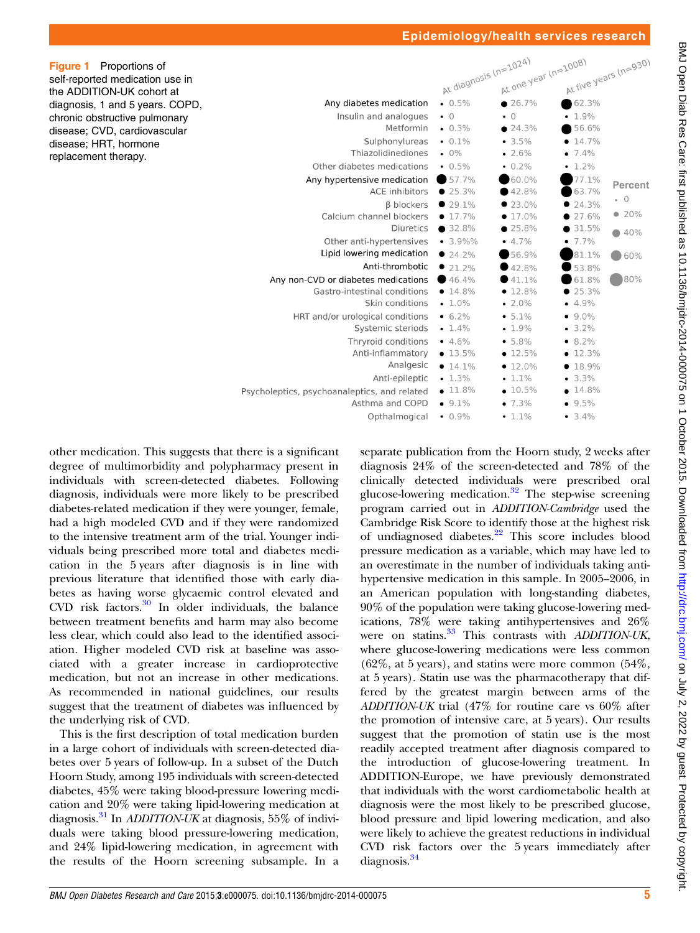<span id="page-4-0"></span>

| <b>Figure 1</b> Proportions of  |
|---------------------------------|
| self-reported medication use in |
| the ADDITION-UK cohort at       |
| diagnosis, 1 and 5 years. COPD, |
| chronic obstructive pulmonary   |
| disease; CVD, cardiovascular    |
| disease; HRT, hormone           |
| replacement therapy.            |

|                                              | At diagnosis (n=1024) | At one year (n=1008) | At five years (n=930) |           |
|----------------------------------------------|-----------------------|----------------------|-----------------------|-----------|
| Any diabetes medication                      | 0.5%                  | 26.7%                | 62.3%                 |           |
| Insulin and analogues                        | $\bullet$ 0           | $\bullet$ 0          | $-1.9%$               |           |
| Metformin                                    | $-0.3\%$              | 24.3%                | 56.6%                 |           |
| Sulphonylureas                               | $\cdot$ 0.1%          | • 3.5%               | $-14.7\%$             |           |
| Thiazolidinediones                           | $.0\%$                | $-2.6%$              | $-7.4%$               |           |
| Other diabetes medications                   | $\cdot$ 0.5%          | $-0.2\%$             | $-1.2\%$              |           |
| Any hypertensive medication                  | 57.7%                 | 60.0%                | 77.1%                 | Percent   |
| <b>ACE</b> inhibitors                        | 25.3%                 | 42.8%                | 63.7%                 |           |
| <b>B</b> blockers                            | $29.1\%$              | $23.0\%$             | 24.3%                 | $\cdot$ 0 |
| Calcium channel blockers                     | $\bullet$ 17.7%       | $-17.0\%$            | 27.6%                 | • 20%     |
| <b>Diuretics</b>                             | 32.8%                 | 25.8%                | 31.5%                 | 40%       |
| Other anti-hypertensives                     | $-3.9\%$ %            | $-4.7%$              | $-7.7\%$              |           |
| Lipid lowering medication                    | 24.2%                 | 56.9%                | 81.1%                 | 60%       |
| Anti-thrombotic                              | 21.2%                 | 42.8%                | 53.8%                 |           |
| Any non-CVD or diabetes medications          | 46.4%                 | •41.1%               | 61.8%                 | 80%       |
| Gastro-intestinal conditions                 | $-14.8%$              | • 12.8%              | 25.3%                 |           |
| Skin conditions                              | $-1.0\%$              | $-2.0%$              | $-4.9%$               |           |
| HRT and/or urological conditions             | $6.2\%$               | $-5.1\%$             | $9.0\%$               |           |
| Systemic steriods                            | $-1.4\%$              | $-1.9%$              | $-3.2%$               |           |
| Thryroid conditions                          | $-4.6%$               | $-5.8%$              | $• 8.2\%$             |           |
| Anti-inflammatory                            | $• 13.5\%$            | • 12.5%              | $-12.3%$              |           |
| Analgesic                                    | $-14.1%$              | $-12.0%$             | • 18.9%               |           |
| Anti-epileptic                               | $-1.3%$               | $-1.1%$              | $-3.3%$               |           |
| Psycholeptics, psychoanaleptics, and related | $-11.8%$              | $-10.5%$             | 14.8%                 |           |
| Asthma and COPD                              | $9.1\%$               | $-7.3%$              | 9.5%                  |           |
| Opthalmogical                                | $-0.9\%$              | $-1.1\%$             | $-3.4%$               |           |

other medication. This suggests that there is a significant degree of multimorbidity and polypharmacy present in individuals with screen-detected diabetes. Following diagnosis, individuals were more likely to be prescribed diabetes-related medication if they were younger, female, had a high modeled CVD and if they were randomized to the intensive treatment arm of the trial. Younger individuals being prescribed more total and diabetes medication in the 5 years after diagnosis is in line with previous literature that identified those with early diabetes as having worse glycaemic control elevated and CVD risk factors. $30$  In older individuals, the balance between treatment benefits and harm may also become less clear, which could also lead to the identified association. Higher modeled CVD risk at baseline was associated with a greater increase in cardioprotective medication, but not an increase in other medications. As recommended in national guidelines, our results suggest that the treatment of diabetes was influenced by the underlying risk of CVD.

This is the first description of total medication burden in a large cohort of individuals with screen-detected diabetes over 5 years of follow-up. In a subset of the Dutch Hoorn Study, among 195 individuals with screen-detected diabetes, 45% were taking blood-pressure lowering medication and 20% were taking lipid-lowering medication at diagnosis.<sup>[31](#page-7-0)</sup> In *ADDITION-UK* at diagnosis, 55% of individuals were taking blood pressure-lowering medication, and 24% lipid-lowering medication, in agreement with the results of the Hoorn screening subsample. In a

separate publication from the Hoorn study, 2 weeks after diagnosis 24% of the screen-detected and 78% of the clinically detected individuals were prescribed oral glucose-lowering medication.[32](#page-7-0) The step-wise screening program carried out in ADDITION-Cambridge used the Cambridge Risk Score to identify those at the highest risk of undiagnosed diabetes.[22](#page-7-0) This score includes blood pressure medication as a variable, which may have led to an overestimate in the number of individuals taking antihypertensive medication in this sample. In 2005–2006, in an American population with long-standing diabetes, 90% of the population were taking glucose-lowering medications, 78% were taking antihypertensives and 26% were on statins.<sup>[33](#page-7-0)</sup> This contrasts with ADDITION-UK, where glucose-lowering medications were less common  $(62\% , at 5 \text{ years})$ , and statins were more common  $(54\%,$ at 5 years). Statin use was the pharmacotherapy that differed by the greatest margin between arms of the ADDITION-UK trial (47% for routine care vs 60% after the promotion of intensive care, at 5 years). Our results suggest that the promotion of statin use is the most readily accepted treatment after diagnosis compared to the introduction of glucose-lowering treatment. In ADDITION-Europe, we have previously demonstrated that individuals with the worst cardiometabolic health at diagnosis were the most likely to be prescribed glucose, blood pressure and lipid lowering medication, and also were likely to achieve the greatest reductions in individual CVD risk factors over the 5 years immediately after diagnosis.<sup>[34](#page-7-0)</sup>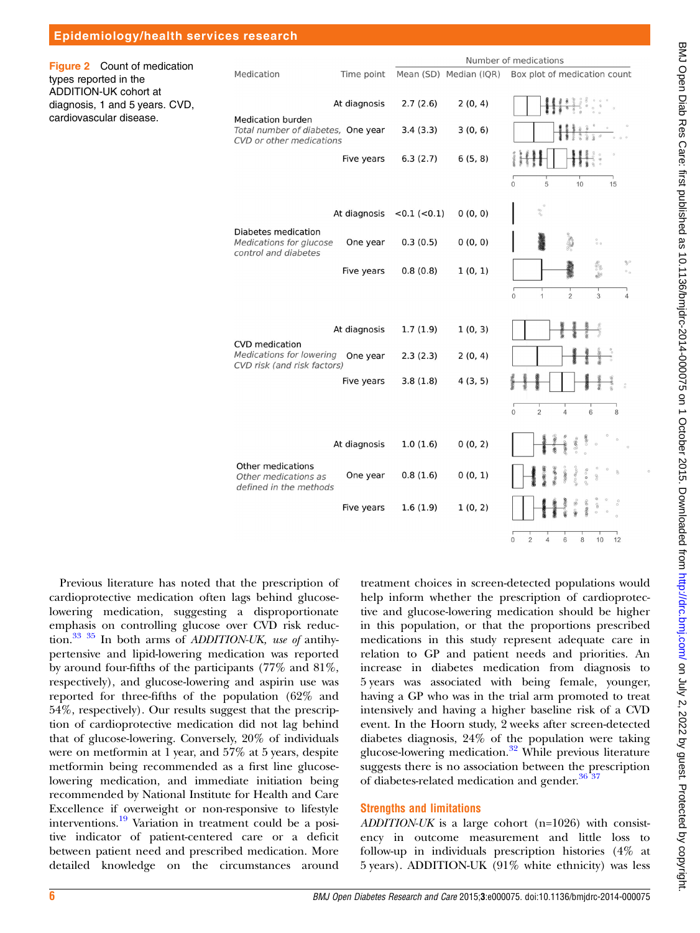<span id="page-5-0"></span>

| Epidemiology/health services research                                                                                                       |                                                                                           |              |                       |         |                                                                                      |  |
|---------------------------------------------------------------------------------------------------------------------------------------------|-------------------------------------------------------------------------------------------|--------------|-----------------------|---------|--------------------------------------------------------------------------------------|--|
| Figure 2 Count of medication<br>types reported in the<br>ADDITION-UK cohort at<br>diagnosis, 1 and 5 years. CVD,<br>cardiovascular disease. |                                                                                           |              | Number of medications |         |                                                                                      |  |
|                                                                                                                                             | Medication                                                                                | Time point   |                       |         | Mean (SD) Median (IQR) Box plot of medication count                                  |  |
|                                                                                                                                             | At diagnosis<br><b>Medication burden</b>                                                  |              | 2.7(2.6)              | 2(0, 4) |                                                                                      |  |
|                                                                                                                                             | Total number of diabetes, One year<br>CVD or other medications                            |              | 3.4(3.3)              | 3(0, 6) |                                                                                      |  |
|                                                                                                                                             |                                                                                           | Five years   | 6.3(2.7)              | 6(5, 8) |                                                                                      |  |
|                                                                                                                                             |                                                                                           |              |                       |         | $\Omega$<br>5<br>10<br>15                                                            |  |
|                                                                                                                                             |                                                                                           | At diagnosis | $<0.1$ ( $< 0.1$ )    | 0(0, 0) | $\partial \sigma$                                                                    |  |
|                                                                                                                                             | Diabetes medication<br>Medications for glucose<br>control and diabetes                    | One year     | 0.3(0.5)              | 0(0, 0) | $_{\rm o}^{\rm o}$ $_{\rm o}$                                                        |  |
|                                                                                                                                             |                                                                                           | Five years   | 0.8(0.8)              | 1(0, 1) | $^{86}_{80}$ %                                                                       |  |
|                                                                                                                                             |                                                                                           |              |                       |         | $\overline{2}$<br>$\overline{3}$<br>$\overline{0}$<br>$\mathbf{1}$<br>$\overline{4}$ |  |
|                                                                                                                                             | <b>CVD</b> medication<br>Medications for lowering One year<br>CVD risk (and risk factors) | At diagnosis | 1.7(1.9)              | 1(0, 3) |                                                                                      |  |
|                                                                                                                                             |                                                                                           |              | 2.3(2.3)              | 2(0, 4) |                                                                                      |  |
|                                                                                                                                             |                                                                                           | Five years   | 3.8(1.8)              | 4(3, 5) |                                                                                      |  |
|                                                                                                                                             |                                                                                           |              |                       |         | $\Omega$<br>$\overline{2}$<br>6<br>8<br>4                                            |  |
|                                                                                                                                             |                                                                                           | At diagnosis | 1.0(1.6)              | 0(0, 2) |                                                                                      |  |
|                                                                                                                                             | Other medications<br>Other medications as<br>defined in the methods                       | One year     | 0.8(1.6)              | 0(0, 1) |                                                                                      |  |
|                                                                                                                                             |                                                                                           | Five years   | 1.6(1.9)              | 1(0, 2) |                                                                                      |  |
|                                                                                                                                             |                                                                                           |              |                       |         | 10<br>$\Omega$<br>$\overline{2}$<br>$\overline{4}$<br>$\,$ 6 $\,$<br>8<br>12         |  |

Previous literature has noted that the prescription of cardioprotective medication often lags behind glucoselowering medication, suggesting a disproportionate emphasis on controlling glucose over CVD risk reduction.[33 35](#page-7-0) In both arms of ADDITION-UK, use of antihypertensive and lipid-lowering medication was reported by around four-fifths of the participants (77% and 81%, respectively), and glucose-lowering and aspirin use was reported for three-fifths of the population (62% and 54%, respectively). Our results suggest that the prescription of cardioprotective medication did not lag behind that of glucose-lowering. Conversely, 20% of individuals were on metformin at 1 year, and 57% at 5 years, despite metformin being recommended as a first line glucoselowering medication, and immediate initiation being recommended by National Institute for Health and Care Excellence if overweight or non-responsive to lifestyle interventions.[19](#page-7-0) Variation in treatment could be a positive indicator of patient-centered care or a deficit between patient need and prescribed medication. More detailed knowledge on the circumstances around

treatment choices in screen-detected populations would help inform whether the prescription of cardioprotective and glucose-lowering medication should be higher in this population, or that the proportions prescribed medications in this study represent adequate care in relation to GP and patient needs and priorities. An increase in diabetes medication from diagnosis to 5 years was associated with being female, younger, having a GP who was in the trial arm promoted to treat intensively and having a higher baseline risk of a CVD event. In the Hoorn study, 2 weeks after screen-detected diabetes diagnosis, 24% of the population were taking glucose-lowering medication.[32](#page-7-0) While previous literature suggests there is no association between the prescription of diabetes-related medication and gender.<sup>36</sup><sup>3</sup>

#### Strengths and limitations

ADDITION-UK is a large cohort (n=1026) with consistency in outcome measurement and little loss to follow-up in individuals prescription histories (4% at 5 years). ADDITION-UK (91% white ethnicity) was less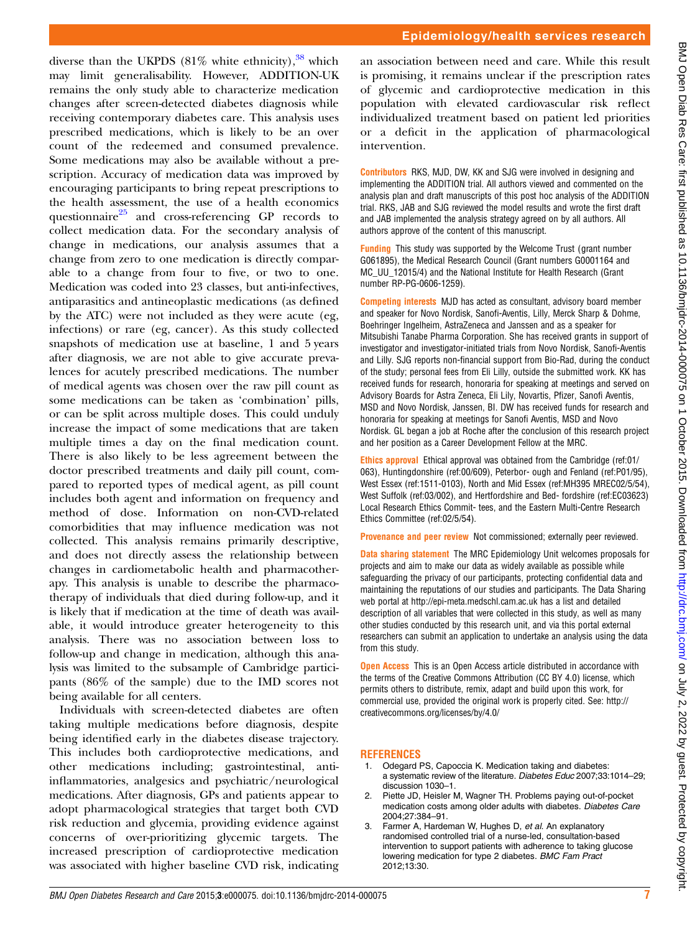<span id="page-6-0"></span>diverse than the UKPDS  $(81\%$  white ethnicity),  $38$  which may limit generalisability. However, ADDITION-UK remains the only study able to characterize medication changes after screen-detected diabetes diagnosis while receiving contemporary diabetes care. This analysis uses prescribed medications, which is likely to be an over count of the redeemed and consumed prevalence. Some medications may also be available without a prescription. Accuracy of medication data was improved by encouraging participants to bring repeat prescriptions to the health assessment, the use of a health economics questionnaire $^{25}$  $^{25}$  $^{25}$  and cross-referencing GP records to collect medication data. For the secondary analysis of change in medications, our analysis assumes that a change from zero to one medication is directly comparable to a change from four to five, or two to one. Medication was coded into 23 classes, but anti-infectives, antiparasitics and antineoplastic medications (as defined by the ATC) were not included as they were acute (eg, infections) or rare (eg, cancer). As this study collected snapshots of medication use at baseline, 1 and 5 years after diagnosis, we are not able to give accurate prevalences for acutely prescribed medications. The number of medical agents was chosen over the raw pill count as some medications can be taken as 'combination' pills, or can be split across multiple doses. This could unduly increase the impact of some medications that are taken multiple times a day on the final medication count. There is also likely to be less agreement between the doctor prescribed treatments and daily pill count, compared to reported types of medical agent, as pill count includes both agent and information on frequency and method of dose. Information on non-CVD-related comorbidities that may influence medication was not collected. This analysis remains primarily descriptive, and does not directly assess the relationship between changes in cardiometabolic health and pharmacotherapy. This analysis is unable to describe the pharmacotherapy of individuals that died during follow-up, and it is likely that if medication at the time of death was available, it would introduce greater heterogeneity to this analysis. There was no association between loss to follow-up and change in medication, although this analysis was limited to the subsample of Cambridge participants (86% of the sample) due to the IMD scores not being available for all centers.

Individuals with screen-detected diabetes are often taking multiple medications before diagnosis, despite being identified early in the diabetes disease trajectory. This includes both cardioprotective medications, and other medications including; gastrointestinal, antiinflammatories, analgesics and psychiatric/neurological medications. After diagnosis, GPs and patients appear to adopt pharmacological strategies that target both CVD risk reduction and glycemia, providing evidence against concerns of over-prioritizing glycemic targets. The increased prescription of cardioprotective medication was associated with higher baseline CVD risk, indicating an association between need and care. While this result is promising, it remains unclear if the prescription rates of glycemic and cardioprotective medication in this population with elevated cardiovascular risk reflect individualized treatment based on patient led priorities or a deficit in the application of pharmacological intervention.

Contributors RKS, MJD, DW, KK and SJG were involved in designing and implementing the ADDITION trial. All authors viewed and commented on the analysis plan and draft manuscripts of this post hoc analysis of the ADDITION trial. RKS, JAB and SJG reviewed the model results and wrote the first draft and JAB implemented the analysis strategy agreed on by all authors. All authors approve of the content of this manuscript.

Funding This study was supported by the Welcome Trust (grant number G061895), the Medical Research Council (Grant numbers G0001164 and MC\_UU\_12015/4) and the National Institute for Health Research (Grant number RP-PG-0606-1259).

Competing interests MJD has acted as consultant, advisory board member and speaker for Novo Nordisk, Sanofi-Aventis, Lilly, Merck Sharp & Dohme, Boehringer Ingelheim, AstraZeneca and Janssen and as a speaker for Mitsubishi Tanabe Pharma Corporation. She has received grants in support of investigator and investigator-initiated trials from Novo Nordisk, Sanofi-Aventis and Lilly. SJG reports non-financial support from Bio-Rad, during the conduct of the study; personal fees from Eli Lilly, outside the submitted work. KK has received funds for research, honoraria for speaking at meetings and served on Advisory Boards for Astra Zeneca, Eli Lily, Novartis, Pfizer, Sanofi Aventis, MSD and Novo Nordisk, Janssen, BI. DW has received funds for research and honoraria for speaking at meetings for Sanofi Aventis, MSD and Novo Nordisk. GL began a job at Roche after the conclusion of this research project and her position as a Career Development Fellow at the MRC.

Ethics approval Ethical approval was obtained from the Cambridge (ref:01/ 063), Huntingdonshire (ref:00/609), Peterbor- ough and Fenland (ref:P01/95), West Essex (ref:1511-0103), North and Mid Essex (ref:MH395 MREC02/5/54), West Suffolk (ref:03/002), and Hertfordshire and Bed- fordshire (ref:EC03623) Local Research Ethics Commit- tees, and the Eastern Multi-Centre Research Ethics Committee (ref:02/5/54).

Provenance and peer review Not commissioned; externally peer reviewed.

Data sharing statement The MRC Epidemiology Unit welcomes proposals for projects and aim to make our data as widely available as possible while safeguarding the privacy of our participants, protecting confidential data and maintaining the reputations of our studies and participants. The Data Sharing web portal at<http://epi-meta.medschl.cam.ac.uk> has a list and detailed description of all variables that were collected in this study, as well as many other studies conducted by this research unit, and via this portal external researchers can submit an application to undertake an analysis using the data from this study.

**Open Access** This is an Open Access article distributed in accordance with the terms of the Creative Commons Attribution (CC BY 4.0) license, which permits others to distribute, remix, adapt and build upon this work, for commercial use, provided the original work is properly cited. See: [http://](http://creativecommons.org/licenses/by/4.0/) [creativecommons.org/licenses/by/4.0/](http://creativecommons.org/licenses/by/4.0/)

#### REFERENCES

- 1. Odegard PS, Capoccia K. Medication taking and diabetes: a systematic review of the literature. Diabetes Educ 2007;33:1014–29; discussion 1030–1.
- 2. Piette JD, Heisler M, Wagner TH. Problems paying out-of-pocket medication costs among older adults with diabetes. Diabetes Care 2004;27:384–91.
- 3. Farmer A, Hardeman W, Hughes D, et al. An explanatory randomised controlled trial of a nurse-led, consultation-based intervention to support patients with adherence to taking glucose lowering medication for type 2 diabetes. BMC Fam Pract 2012;13:30.